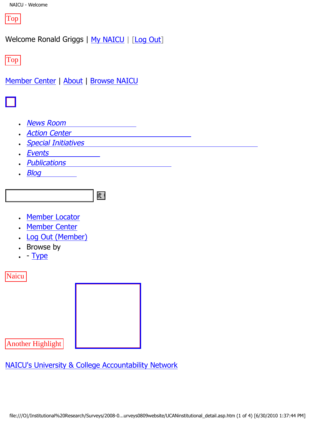

Welcome Ronald Griggs | [My NAICU](file:///My_NAICU/) | [\[Log Out](file:///My_NAICU/signout.asp)]

Top

[Member Center](file:///Member_Center/default.asp) | [About](file:///about/default.asp) | [Browse NAICU](file:///Browse_NAICU/default.asp)



- **[News Room](file:///news_room/default.asp)**
- **[Action Center](http://capwiz.com/naicu/home/)**
- **[Special Initiatives](file:///special_initiatives/default.asp)**
- **[Events](file:///events/default.asp)**
- **[Publications](file:///publications/default.asp)**
- **[Blog](file:///naicublog/default.asp)**



- [Member Locator](file:///member_center/memberLocator.asp)
- **[Member Center](file:///member_center/)**
- **[Log Out \(Member\)](file:///member_center/signout.asp)**
- Browse by
- $\cdot$  - [Type](file:///member_center/memberNews_byType.asp)

**Naicu** 



Another Highlight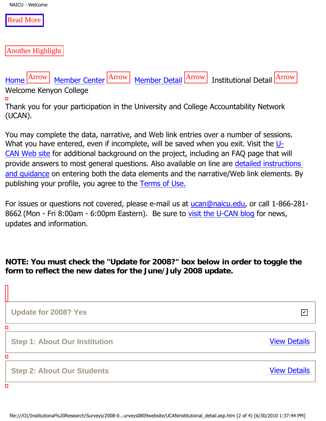NAICU - Welcome

[Read More](http://www.ucan-network.org/)

Another Highlight

[Home](file:///) Arrow [Member Center](file:///member_center/) Arrow [Member Detail](file:///member_center/id.432/member_detail.asp) Arrow Institutional Detail Arrow

Welcome Kenyon College

 $\Box$ 

Thank you for your participation in the University and College Accountability Network (UCAN).

You may complete the data, narrative, and Web link entries over a number of sessions. What you have entered, even if incomplete, will be saved when you exit. Visit the [U-](http://www.ucan-network.org/)[CAN Web site](http://www.ucan-network.org/) for additional background on the project, including an FAQ page that will provide answers to most general questions. Also available on line are [detailed instructions](file:///u-caninstructions) [and guidance](file:///u-caninstructions) on entering both the data elements and the narrative/Web link elements. By publishing your profile, you agree to the [Terms of Use.](http://www.ucan-network.org/id.10,id2.656/default.asp)

For issues or questions not covered, please e-mail us at [ucan@naicu.edu](mailto:ucan@naicu.edu), or call 1-866-281- 8662 (Mon - Fri 8:00am - 6:00pm Eastern). Be sure to [visit the U-CAN blog](http://ucan-network.blogspot.com/) for news, updates and information.

**NOTE: You must check the "Update for 2008?" box below in order to toggle the form to reflect the new dates for the June/July 2008 update.**

**Update for 2008? Yes Step 1: About Our Institution** [View Details](file:///member_center/id.432/institutional_step1.asp) **Step 2: About Our Students** [View Details](file:///member_center/id.432/institutional_step2.asp) file:///O|/Institutional%20Research/Surveys/2008-0...urveys0809website/UCANinstitutional\_detail.asp.htm (2 of 4) [6/30/2010 1:37:44 PM]✔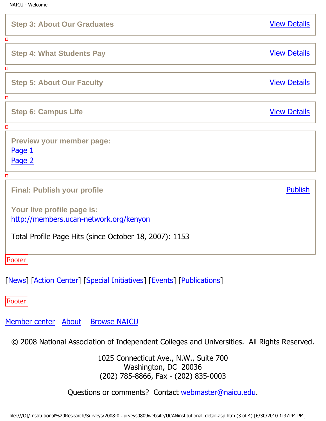| <b>Step 3: About Our Graduates</b>                                                                                             | <b>View Details</b> |
|--------------------------------------------------------------------------------------------------------------------------------|---------------------|
| о                                                                                                                              |                     |
| <b>Step 4: What Students Pay</b>                                                                                               | <b>View Details</b> |
| о                                                                                                                              |                     |
| <b>Step 5: About Our Faculty</b>                                                                                               | <b>View Details</b> |
| о                                                                                                                              |                     |
| <b>Step 6: Campus Life</b>                                                                                                     | <b>View Details</b> |
| о                                                                                                                              |                     |
| <b>Preview your member page:</b><br>Page 1<br>Page 2                                                                           |                     |
| о                                                                                                                              |                     |
| <b>Final: Publish your profile</b>                                                                                             | <b>Publish</b>      |
| Your live profile page is:<br>http://members.ucan-network.org/kenyon<br>Total Profile Page Hits (since October 18, 2007): 1153 |                     |
| Footer                                                                                                                         |                     |

[\[News\]](file:///News_Room/default.asp) [Action Center] [\[Special Initiatives\]](file:///Special_Initiatives/default.asp) [[Events\]](file:///Events/default.asp) [[Publications\]](file:///Publications/default.asp)

Footer

[Member center](file:///Member_Center/default.asp) [About](file:///about/default.asp) [Browse NAICU](file:///Browse_NAICU/default.asp)

© 2008 National Association of Independent Colleges and Universities. All Rights Reserved.

1025 Connecticut Ave., N.W., Suite 700 Washington, DC 20036 (202) 785-8866, Fax - (202) 835-0003

Questions or comments? Contact [webmaster@naicu.edu](mailto:webmaster@naicu.edu).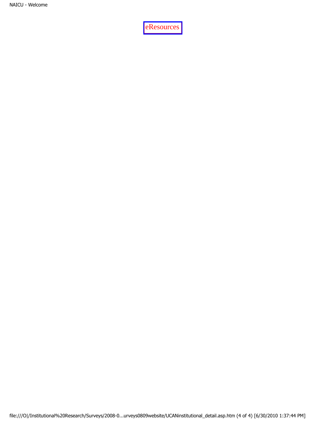[eResources](http://www.eresources.com/)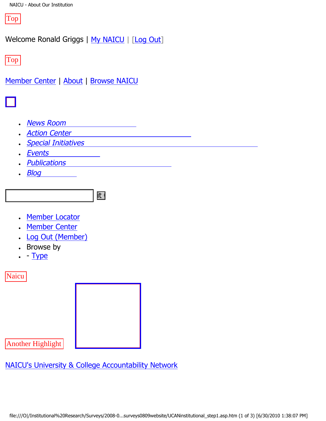Top

Welcome Ronald Griggs | [My NAICU](file:///My_NAICU/) | [\[Log Out](file:///My_NAICU/signout.asp)]

Top

[Member Center](file:///Member_Center/default.asp) | [About](file:///about/default.asp) | [Browse NAICU](file:///Browse_NAICU/default.asp)



- **[News Room](file:///news_room/default.asp)**
- **[Action Center](http://capwiz.com/naicu/home/)**
- **[Special Initiatives](file:///special_initiatives/default.asp)**
- **[Events](file:///events/default.asp)**
- **[Publications](file:///publications/default.asp)**
- **[Blog](file:///naicublog/default.asp)**



- [Member Locator](file:///member_center/memberLocator.asp)
- **[Member Center](file:///member_center/)**
- **[Log Out \(Member\)](file:///member_center/signout.asp)**
- Browse by
- $\cdot$  - [Type](file:///member_center/memberNews_byType.asp)

**Naicu** 



Another Highlight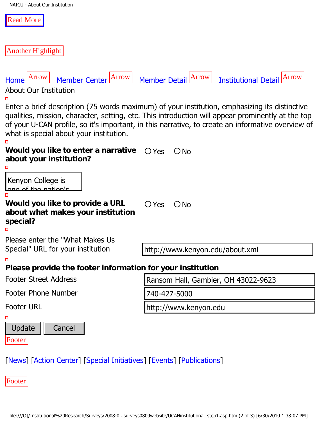| NAICU - About Our Institution |  |
|-------------------------------|--|
|                               |  |

| <b>Read More</b> |  |
|------------------|--|
|                  |  |

Another Highlight

| Member Center Arrow<br>Arrow<br>Home<br><b>About Our Institution</b>                                                                                                    | Arrow<br><b>Arrow</b><br><b>Institutional Detail</b><br><b>Member Detail</b>                                                                                                                                                                                                                            |  |
|-------------------------------------------------------------------------------------------------------------------------------------------------------------------------|---------------------------------------------------------------------------------------------------------------------------------------------------------------------------------------------------------------------------------------------------------------------------------------------------------|--|
| what is special about your institution.                                                                                                                                 | Enter a brief description (75 words maximum) of your institution, emphasizing its distinctive<br>qualities, mission, character, setting, etc. This introduction will appear prominently at the top<br>of your U-CAN profile, so it's important, in this narrative, to create an informative overview of |  |
| Would you like to enter a narrative<br>about your institution?                                                                                                          | $\bigcirc$ Yes<br>$\bigcirc$ No                                                                                                                                                                                                                                                                         |  |
| Kenyon College is<br><u>lana af tha natianla</u><br>Would you like to provide a URL<br>about what makes your institution<br>special?<br>Please enter the "What Makes Us | $\bigcirc$ Yes<br>$\bigcirc$ No                                                                                                                                                                                                                                                                         |  |
| Special" URL for your institution                                                                                                                                       | http://www.kenyon.edu/about.xml                                                                                                                                                                                                                                                                         |  |
| Please provide the footer information for your institution                                                                                                              |                                                                                                                                                                                                                                                                                                         |  |
| <b>Footer Street Address</b>                                                                                                                                            | Ransom Hall, Gambier, OH 43022-9623                                                                                                                                                                                                                                                                     |  |
| <b>Footer Phone Number</b>                                                                                                                                              | 740-427-5000                                                                                                                                                                                                                                                                                            |  |
| <b>Footer URL</b>                                                                                                                                                       | http://www.kenyon.edu                                                                                                                                                                                                                                                                                   |  |
| Update<br>Cancel<br>Footer                                                                                                                                              |                                                                                                                                                                                                                                                                                                         |  |
| [News] [Action Center] [Special Initiatives] [Events] [Publications]                                                                                                    |                                                                                                                                                                                                                                                                                                         |  |

Footer professors know the second contract of the second contract of the second contract of the second contract of th<br>In the second contract of the second contract of the second contract of the second contract of the second contr rooter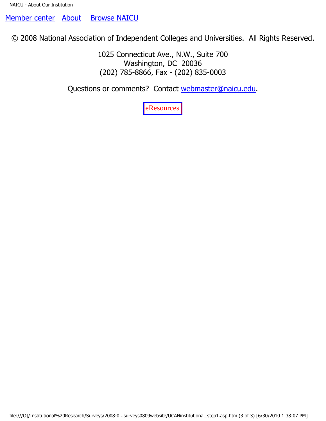[Member center](file:///Member_Center/default.asp) [About](file:///about/default.asp) [Browse NAICU](file:///Browse_NAICU/default.asp)

© 2008 National Association of Independent Colleges and Universities. All Rights Reserved.

1025 Connecticut Ave., N.W., Suite 700 Washington, DC 20036 (202) 785-8866, Fax - (202) 835-0003

Questions or comments? Contact [webmaster@naicu.edu](mailto:webmaster@naicu.edu).

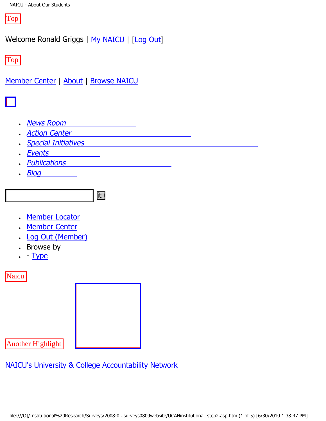Top

Welcome Ronald Griggs | [My NAICU](file:///My_NAICU/) | [\[Log Out](file:///My_NAICU/signout.asp)]

Top

[Member Center](file:///Member_Center/default.asp) | [About](file:///about/default.asp) | [Browse NAICU](file:///Browse_NAICU/default.asp)



- **[News Room](file:///news_room/default.asp)**
- **[Action Center](http://capwiz.com/naicu/home/)**
- **[Special Initiatives](file:///special_initiatives/default.asp)**
- **[Events](file:///events/default.asp)**
- **[Publications](file:///publications/default.asp)**
- **[Blog](file:///naicublog/default.asp)**



- [Member Locator](file:///member_center/memberLocator.asp)
- **[Member Center](file:///member_center/)**
- **[Log Out \(Member\)](file:///member_center/signout.asp)**
- Browse by
- $\cdot$  - [Type](file:///member_center/memberNews_byType.asp)

**Naicu** 



Another Highlight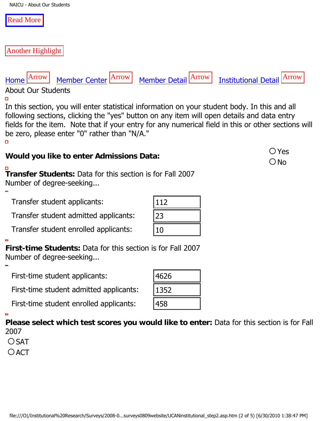#### [Read More](http://www.ucan-network.org/)

Another Highlight

[Home](file:///) Arrow [Member Center](file:///member_center/) Arrow [Member Detail](file:///member_center/id.432/member_detail.asp) Arrow [Institutional Detail](file:///member_center/id.432/institutional_detail.asp) Arrow About Our Students

 $\Box$ 

In this section, you will enter statistical information on your student body. In this and all following sections, clicking the "yes" button on any item will open details and data entry fields for the item. Note that if your entry for any numerical field in this or other sections will be zero, please enter "0" rather than "N/A."  $\Box$ 

# **Would you like to enter Admissions Data:**  $\bigcirc$  Yes

**Transfer Students:** Data for this section is for Fall 2007 Number of degree-seeking...

Transfer student applicants:

| Transfer student applicants:                                                                                                         | 112  |  |
|--------------------------------------------------------------------------------------------------------------------------------------|------|--|
| Transfer student admitted applicants:                                                                                                | 23   |  |
| Transfer student enrolled applicants:                                                                                                | 10   |  |
| First-time Students: Data for this section is for Fall 2007<br>Number of degree-seeking                                              |      |  |
| First-time student applicants:                                                                                                       | 4626 |  |
| First-time student admitted applicants:                                                                                              | 1352 |  |
| First-time student enrolled applicants:                                                                                              | 458  |  |
| Please select which test scores you would like to enter: Data for this section is for Fall<br>2007<br>OSAT                           |      |  |
| $O$ ACT                                                                                                                              |      |  |
|                                                                                                                                      |      |  |
|                                                                                                                                      |      |  |
| file:///O /Institutional%20Research/Surveys/2008-0surveys0809website/UCANinstitutional_step2.asp.htm (2 of 5) [6/30/2010 1:38:47 PM] |      |  |
|                                                                                                                                      |      |  |

| 112 |  |
|-----|--|
| 23  |  |
|     |  |

# $\bigcirc$  No

| <u> 112</u> |  |
|-------------|--|
|             |  |
| 23          |  |
|             |  |
| ιU          |  |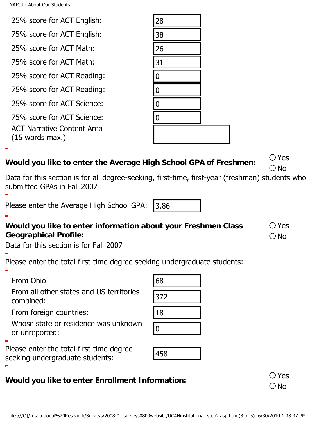| 25% score for ACT English:                                                                                                                                                                                          | 28               |                                 |
|---------------------------------------------------------------------------------------------------------------------------------------------------------------------------------------------------------------------|------------------|---------------------------------|
| 75% score for ACT English:                                                                                                                                                                                          | 38               |                                 |
| 25% score for ACT Math:                                                                                                                                                                                             | 26               |                                 |
| 75% score for ACT Math:                                                                                                                                                                                             | 31               |                                 |
| 25% score for ACT Reading:                                                                                                                                                                                          | 0                |                                 |
| 75% score for ACT Reading:                                                                                                                                                                                          | $\boldsymbol{0}$ |                                 |
| 25% score for ACT Science:                                                                                                                                                                                          | $\boldsymbol{0}$ |                                 |
| 75% score for ACT Science:                                                                                                                                                                                          | $\boldsymbol{0}$ |                                 |
| <b>ACT Narrative Content Area</b><br>$(15$ words max.)                                                                                                                                                              |                  |                                 |
| <b>Nould you like to enter the Average High School GPA of Freshmen:</b><br>Data for this section is for all degree-seeking, first-time, first-year (freshman) students who<br>ubmitted GPAs in Fall 2007            |                  | $\bigcirc$ Yes<br>$\bigcirc$ No |
| Please enter the Average High School GPA:                                                                                                                                                                           | 3.86             |                                 |
| <b>Nould you like to enter information about your Freshmen Class</b><br>Geographical Profile:<br>Data for this section is for Fall 2007<br>Please enter the total first-time degree seeking undergraduate students: |                  | $\bigcirc$ Yes<br>$\bigcirc$ No |
| From Ohio                                                                                                                                                                                                           | 68               |                                 |
| From all other states and US territories<br>combined:<br>From foreign countries:                                                                                                                                    | 372<br> 18       |                                 |
| Whose state or residence was unknown<br>or unreported:                                                                                                                                                              | $ 0\rangle$      |                                 |
| Please enter the total first-time degree<br>eeking undergraduate students:                                                                                                                                          | 458              |                                 |
| <b>Nould you like to enter Enrollment Information:</b>                                                                                                                                                              |                  | $\bigcirc$ Yes<br>$\bigcirc$ No |
| file:///O /Institutional%20Research/Surveys/2008-0surveys0809website/UCANinstitutional_step2.asp.htm (3 of 5) [6/30/2010 1:38:47 PM]                                                                                |                  |                                 |

### **Would you like to enter the Average High School GPA of Freshmen:** Yes

#### **Would you like to enter information about your Freshmen Class Geographical Profile:**

| 68  |  |
|-----|--|
| 372 |  |
| 18  |  |
|     |  |



# **Would you like to enter Enrollment Information:**  $\bigcirc$  Yes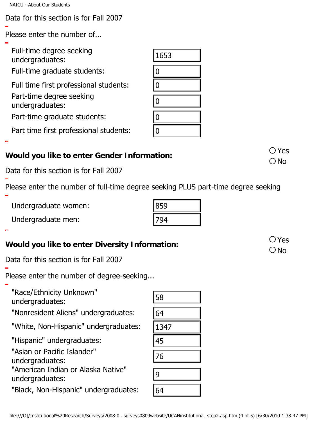NAICU - About Our Students

Data for this section is for Fall 2007

Please enter the number of...

| Full-time degree seeking<br>undergraduates:                                                                                           | 1653        |                                 |
|---------------------------------------------------------------------------------------------------------------------------------------|-------------|---------------------------------|
| Full-time graduate students:                                                                                                          | $ 0\rangle$ |                                 |
| Full time first professional students:                                                                                                | $ 0\rangle$ |                                 |
| Part-time degree seeking<br>undergraduates:                                                                                           | $ 0\rangle$ |                                 |
| Part-time graduate students:                                                                                                          | $ 0\rangle$ |                                 |
| Part time first professional students:                                                                                                | 0           |                                 |
| Vould you like to enter Gender Information:                                                                                           |             | $\bigcirc$ Yes<br>$\bigcirc$ No |
| ata for this section is for Fall 2007                                                                                                 |             |                                 |
| lease enter the number of full-time degree seeking PLUS part-time degree seeking                                                      |             |                                 |
| Undergraduate women:                                                                                                                  | 859         |                                 |
| Undergraduate men:                                                                                                                    | 794         |                                 |
| Vould you like to enter Diversity Information:                                                                                        |             | $\bigcirc$ Yes<br>$\bigcirc$ No |
| ata for this section is for Fall 2007                                                                                                 |             |                                 |
| lease enter the number of degree-seeking                                                                                              |             |                                 |
| "Race/Ethnicity Unknown"<br>undergraduates:                                                                                           | 58          |                                 |
| "Nonresident Aliens" undergraduates:                                                                                                  | 64          |                                 |
| "White, Non-Hispanic" undergraduates:                                                                                                 | 1347        |                                 |
| "Hispanic" undergraduates:                                                                                                            | 45          |                                 |
| "Asian or Pacific Islander"<br>undergraduates:                                                                                        | 76          |                                 |
| "American Indian or Alaska Native"<br>undergraduates:                                                                                 | 9           |                                 |
| "Black, Non-Hispanic" undergraduates:                                                                                                 | 64          |                                 |
| file:///O /Institutional%20Research/Surveys/2008-0…surveys0809website/UCANinstitutional_step2.asp.htm (4 of 5) [6/30/2010 1:38:47 PM] |             |                                 |

# **Would you like to enter Gender Information:**  $\bigcirc$  Yes

# **Would you like to enter Diversity Information:**  $\bigcirc$  Yes

| 58   |  |
|------|--|
| 64   |  |
| 1347 |  |
| 45   |  |
| 76   |  |
| 9    |  |
| 54   |  |

| PLUS part-tir |
|---------------|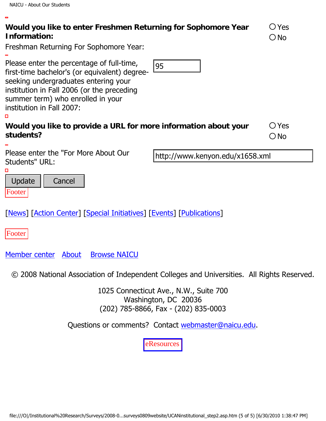$\blacksquare$ 

Freshman Returning For Sophomore Year:

Please enter the percentage of full-time,

| Please einer une percentage or fun-unle,<br>95<br>first-time bachelor's (or equivalent) degree-<br>seeking undergraduates entering your<br>institution in Fall 2006 (or the preceding<br>summer term) who enrolled in your<br>institution in Fall 2007:<br>о |                                 |
|--------------------------------------------------------------------------------------------------------------------------------------------------------------------------------------------------------------------------------------------------------------|---------------------------------|
| Would you like to provide a URL for more information about your<br>students?                                                                                                                                                                                 | $\bigcirc$ Yes<br>$\bigcirc$ No |
| Please enter the "For More About Our<br>http://www.kenyon.edu/x1658.xml<br>Students" URL:<br>□                                                                                                                                                               |                                 |
| Update<br>Cancel<br>Footer                                                                                                                                                                                                                                   |                                 |
| [News] [Action Center] [Special Initiatives] [Events] [Publications]                                                                                                                                                                                         |                                 |
| Footer                                                                                                                                                                                                                                                       |                                 |
| Member center About<br><b>Browse NAICU</b>                                                                                                                                                                                                                   |                                 |
| © 2008 National Association of Independent Colleges and Universities. All Rights Reserved.                                                                                                                                                                   |                                 |
| 1025 Connecticut Ave., N.W., Suite 700<br>Washington, DC 20036<br>(202) 785-8866, Fax - (202) 835-0003                                                                                                                                                       |                                 |
| Questions or comments? Contact webmaster@naicu.edu.                                                                                                                                                                                                          |                                 |
| eResources                                                                                                                                                                                                                                                   |                                 |
|                                                                                                                                                                                                                                                              |                                 |
|                                                                                                                                                                                                                                                              |                                 |
| file:///O /Institutional%20Research/Surveys/2008-0surveys0809website/UCANinstitutional_step2.asp.htm (5 of 5) [6/30/2010 1:38:47 PM]                                                                                                                         |                                 |
|                                                                                                                                                                                                                                                              |                                 |
|                                                                                                                                                                                                                                                              |                                 |

| Would you like to enter Freshmen Returning for Sophomore Year |  |
|---------------------------------------------------------------|--|
| Information:                                                  |  |

| Ç. | ) Yes           |
|----|-----------------|
|    | <sup>)</sup> No |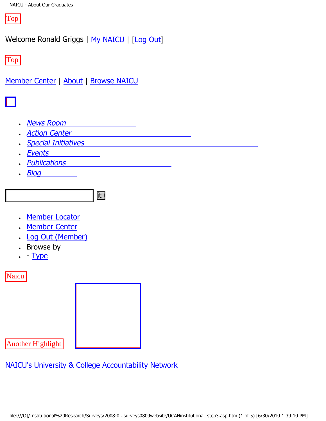Top

Welcome Ronald Griggs | [My NAICU](file:///My_NAICU/) | [\[Log Out](file:///My_NAICU/signout.asp)]

Top

[Member Center](file:///Member_Center/default.asp) | [About](file:///about/default.asp) | [Browse NAICU](file:///Browse_NAICU/default.asp)



- **[News Room](file:///news_room/default.asp)**
- **[Action Center](http://capwiz.com/naicu/home/)**
- **[Special Initiatives](file:///special_initiatives/default.asp)**
- **[Events](file:///events/default.asp)**
- **[Publications](file:///publications/default.asp)**
- **[Blog](file:///naicublog/default.asp)**



- [Member Locator](file:///member_center/memberLocator.asp)
- **[Member Center](file:///member_center/)**
- **[Log Out \(Member\)](file:///member_center/signout.asp)**
- Browse by
- $\cdot$  - [Type](file:///member_center/memberNews_byType.asp)

**Naicu** 



Another Highlight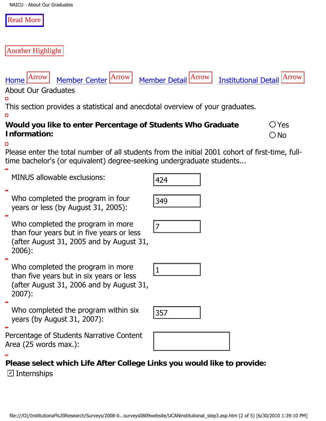#### [Read More](http://www.ucan-network.org/)

#### Another Highlight

About Our Graduates

**Information:** 

п

 $\Box$ 

 $\Box$ 



This section provides a statistical and anecdotal overview of your graduates.

**Would you like to enter Percentage of Students Who Graduate** 

[Home](file:///) Arrow [Member Center](file:///member_center/) Arrow [Member Detail](file:///member_center/id.432/member_detail.asp) Arrow [Institutional Detail](file:///member_center/id.432/institutional_detail.asp) Arrow

1

| <u>MINUS dilowable exclusions:</u>                                                                                                     | 424                                                                                                                                  |
|----------------------------------------------------------------------------------------------------------------------------------------|--------------------------------------------------------------------------------------------------------------------------------------|
| Who completed the program in four<br>years or less (by August 31, 2005):                                                               | 349                                                                                                                                  |
| Who completed the program in more<br>than four years but in five years or less<br>(after August 31, 2005 and by August 31,<br>$2006$ : | 7                                                                                                                                    |
| Who completed the program in more<br>than five years but in six years or less<br>(after August 31, 2006 and by August 31,<br>$2007$ :  | $ 1\rangle$                                                                                                                          |
| Who completed the program within six<br>years (by August 31, 2007):                                                                    | 357                                                                                                                                  |
| Percentage of Students Narrative Content<br>Area (25 words max.):                                                                      |                                                                                                                                      |
| Please select which Life After College Links you would like to provide:<br>$\boxdot$ Internships                                       |                                                                                                                                      |
|                                                                                                                                        | file:///O /Institutional%20Research/Surveys/2008-0surveys0809website/UCANinstitutional_step3.asp.htm (2 of 5) [6/30/2010 1:39:10 PM] |

| 424 |  |
|-----|--|
|     |  |
| 349 |  |

Yes  $\bigcirc$  No





| <u>g</u> |  |
|----------|--|
|          |  |
|          |  |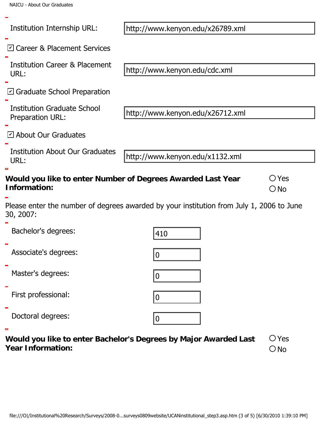| Institution Internship URL:                            | http://www.kenyon.edu/x26789.xml                                                                                                     |                                 |
|--------------------------------------------------------|--------------------------------------------------------------------------------------------------------------------------------------|---------------------------------|
| ☑ Career & Placement Services                          |                                                                                                                                      |                                 |
| <b>Institution Career &amp; Placement</b><br>URL:      | http://www.kenyon.edu/cdc.xml                                                                                                        |                                 |
| $\boxdot$ Graduate School Preparation                  |                                                                                                                                      |                                 |
| <b>Institution Graduate School</b><br>Preparation URL: | http://www.kenyon.edu/x26712.xml                                                                                                     |                                 |
| $\boxdot$ About Our Graduates                          |                                                                                                                                      |                                 |
| <b>Institution About Our Graduates</b><br>URL:         | http://www.kenyon.edu/x1132.xml                                                                                                      |                                 |
| Information:                                           | Would you like to enter Number of Degrees Awarded Last Year                                                                          | $\bigcirc$ Yes<br>$\bigcirc$ No |
| 30, 2007:                                              | Please enter the number of degrees awarded by your institution from July 1, 2006 to June                                             |                                 |
| Bachelor's degrees:                                    | 410                                                                                                                                  |                                 |
| Associate's degrees:                                   | $ 0\rangle$                                                                                                                          |                                 |
| Master's degrees:                                      | 10                                                                                                                                   |                                 |
| First professional:                                    | 10                                                                                                                                   |                                 |
| Doctoral degrees:                                      | 10                                                                                                                                   |                                 |
| E<br><b>Year Information:</b>                          | Would you like to enter Bachelor's Degrees by Major Awarded Last                                                                     | $\bigcirc$ Yes<br>$\bigcirc$ No |
|                                                        |                                                                                                                                      |                                 |
|                                                        |                                                                                                                                      |                                 |
|                                                        | file:///O /Institutional%20Research/Surveys/2008-0surveys0809website/UCANinstitutional_step3.asp.htm (3 of 5) [6/30/2010 1:39:10 PM] |                                 |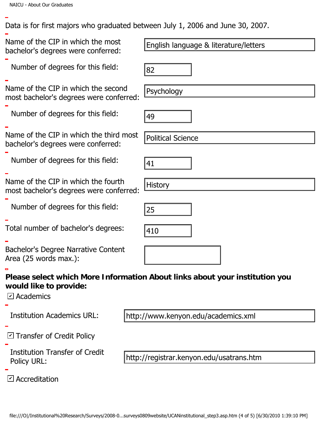Data is for first majors who graduated between July 1, 2006 and June 30, 2007.

Name of the CIP in which the most bachelor's degrees were conferred: Number of degrees for this field: Name of the CIP in which the second most bachelor's degrees were conferred: Number of degrees for this field: Name of the CIP in which the third most bachelor's degrees were conferred: Number of degrees for this field: Name of the CIP in which the fourth most bachelor's degrees were conferred: Number of degrees for this field: Total number of bachelor's degrees: Bachelor's Degree Narrative Content Area (25 words max.): **Please select which More Information About links about your institution you would like to provide:**  $\nabla$  Academics Institution Academics URL: ⊠ Transfer of Credit Policy Institution Transfer of Credit Policy URL: Accreditation ✔Finglish language & literature/letters<br>
Number of degrees for this filed:<br>
Ilame of the CIP in which the second<br>
Ilame of the CIP in which the second<br>
Number of degrees for this filed:<br>
The CIP in which the file of File of http://www.kenyon.edu/academics.xml http://registrar.kenyon.edu/usatrans.htm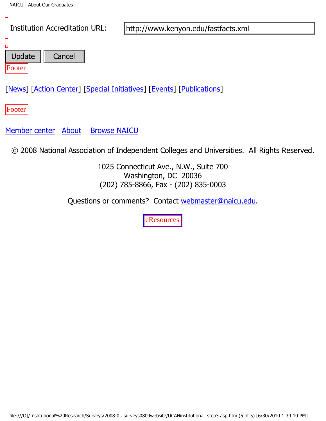

Questions or comments? Contact [webmaster@naicu.edu](mailto:webmaster@naicu.edu).

[eResources](http://www.eresources.com/)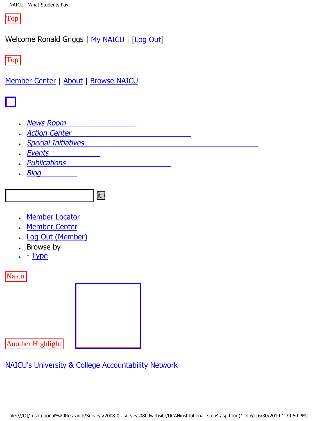Top

Welcome Ronald Griggs | [My NAICU](file:///My_NAICU/) | [\[Log Out](file:///My_NAICU/signout.asp)]

Top

[Member Center](file:///Member_Center/default.asp) | [About](file:///about/default.asp) | [Browse NAICU](file:///Browse_NAICU/default.asp)



- **[News Room](file:///news_room/default.asp)**
- **[Action Center](http://capwiz.com/naicu/home/)**
- **[Special Initiatives](file:///special_initiatives/default.asp)**
- **[Events](file:///events/default.asp)**
- **[Publications](file:///publications/default.asp)**
- **[Blog](file:///naicublog/default.asp)**



- [Member Locator](file:///member_center/memberLocator.asp)
- **[Member Center](file:///member_center/)**
- **[Log Out \(Member\)](file:///member_center/signout.asp)**
- Browse by
- $\cdot$  - [Type](file:///member_center/memberNews_byType.asp)

**Naicu** 



Another Highlight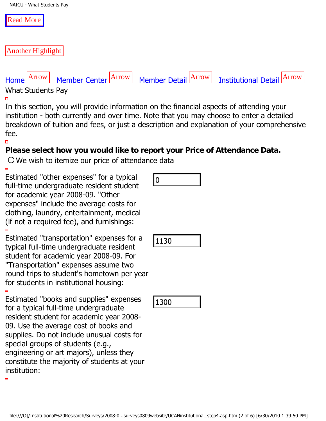#### [Read More](http://www.ucan-network.org/)

Another Highlight

# [Home](file:///) Arrow [Member Center](file:///member_center/) Arrow [Member Detail](file:///member_center/id.432/member_detail.asp) Arrow [Institutional Detail](file:///member_center/id.432/institutional_detail.asp) Arrow

#### What Students Pay

 $\Box$ 

In this section, you will provide information on the financial aspects of attending your institution - both currently and over time. Note that you may choose to enter a detailed breakdown of tuition and fees, or just a description and explanation of your comprehensive fee.

#### $\Box$

#### **Please select how you would like to report your Price of Attendance Data.**

 $\bigcirc$  We wish to itemize our price of attendance data

Estimated "other expenses" for a typical full-time undergraduate resident student for academic year 2008-09. "Other expenses" include the average costs for clothing, laundry, entertainment, medical (if not a required fee), and furnishings:

Estimated "transportation" expenses for a typical full-time undergraduate resident student for academic year 2008-09. For "Transportation" expenses assume two round trips to student's hometown per year for students in institutional housing:

Estimated "books and supplies" expenses for a typical full-time undergraduate resident student for academic year 2008- 09. Use the average cost of books and supplies. Do not include unusual costs for special groups of students (e.g., engineering or art majors), unless they constitute the majority of students at your institution: similated outer expenses for a typicar<br>ill-lime undergraduate resident student<br>preses" include the average costs for<br>physical full-time undergraduate resident, medical<br>pixel full-time undergraduate resident<br>for a required

|--|--|

1130

1300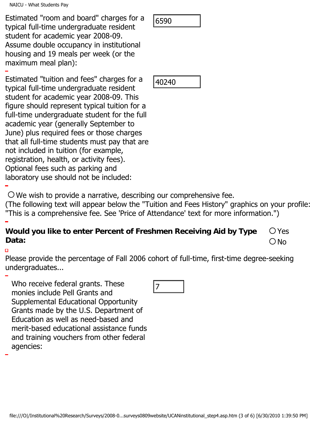Estimated "room and board" charges for a typical full-time undergraduate resident student for academic year 2008-09. Assume double occupancy in institutional housing and 19 meals per week (or the maximum meal plan):

Estimated "tuition and fees" charges for a typical full-time undergraduate resident student for academic year 2008-09. This figure should represent typical tuition for a full-time undergraduate student for the full academic year (generally September to June) plus required fees or those charges that all full-time students must pay that are not included in tuition (for example, registration, health, or activity fees). Optional fees such as parking and laboratory use should not be included: simulated tool in an under and the state of a conserver and the state of two company of interstels and 19 meas per week (or the company of interstels) and 19 meas per week (or the company in institutional<br>assume double occ

 $\overline{O}$  We wish to provide a narrative, describing our comprehensive fee.

(The following text will appear below the "Tuition and Fees History" graphics on your profile: "This is a comprehensive fee. See 'Price of Attendance' text for more information.")

#### **Would you like to enter Percent of Freshmen Receiving Aid by Type Data:**  Yes  $\bigcirc$  No

п

Please provide the percentage of Fall 2006 cohort of full-time, first-time degree-seeking undergraduates...

Who receive federal grants. These monies include Pell Grants and Supplemental Educational Opportunity Grants made by the U.S. Department of Education as well as need-based and merit-based educational assistance funds and training vouchers from other federal agencies:

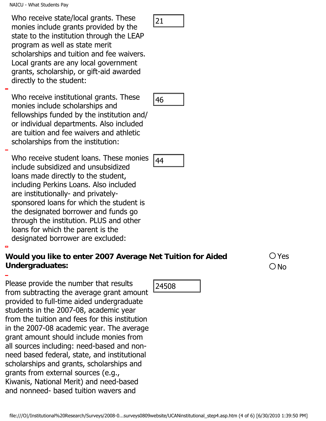NAICU - What Students Pay

**Undergraduates:**

Who receive state/local grants. These monies include grants provided by the state to the institution through the LEAP program as well as state merit scholarships and tuition and fee waivers. Local grants are any local government grants, scholarship, or gift-aid awarded directly to the student:

Who receive institutional grants. These monies include scholarships and fellowships funded by the institution and/ or individual departments. Also included are tuition and fee waivers and athletic scholarships from the institution:

Who receive student loans. These monies include subsidized and unsubsidized loans made directly to the student, including Perkins Loans. Also included are institutionally- and privatelysponsored loans for which the student is the designated borrower and funds go through the institution. PLUS and other loans for which the parent is the designated borrower are excluded: who receive state, word and file transport of the institution through the LEAP<br>program is well as state ment<br>to the institution of the state ment<br>considers to the state ment<br>considers and untion and fear weakers.<br>Local gr

Please provide the number that results

grants from external sources (e.g.,

Kiwanis, National Merit) and need-based and nonneed- based tuition wavers and

from subtracting the average grant amount provided to full-time aided undergraduate students in the 2007-08, academic year from the tuition and fees for this institution in the 2007-08 academic year. The average grant amount should include monies from all sources including: need-based and nonneed based federal, state, and institutional scholarships and grants, scholarships and

**Would you like to enter 2007 Average Net Tuition for Aided** 





Yes

 $\bigcirc$  No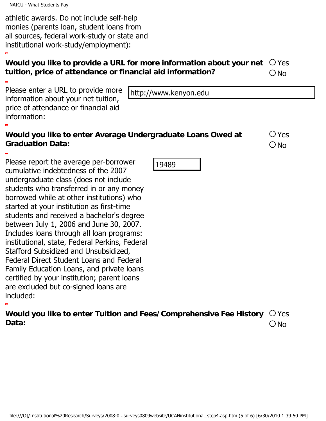NAICU - What Students Pay

athletic awards. Do not include self-help monies (parents loan, student loans from all sources, federal work-study or state and institutional work-study/employment):

#### **Would you like to provide a URL for more information about your net tuition, price of attendance or financial aid information?** Yes ONo

Please enter a URL to provide more information about your net tuition, price of attendance or financial aid information:

#### **Would you like to enter Average Undergraduate Loans Owed at Graduation Data:**

Please report the average per-borrower cumulative indebtedness of the 2007 undergraduate class (does not include students who transferred in or any money borrowed while at other institutions) who started at your institution as first-time students and received a bachelor's degree between July 1, 2006 and June 30, 2007. Includes loans through all loan programs: institutional, state, Federal Perkins, Federal Stafford Subsidized and Unsubsidized, Federal Direct Student Loans and Federal Family Education Loans, and private loans certified by your institution; parent loans are excluded but co-signed loans are included: File://www.kenyon.edu<br>information about your net tultion, http://www.kenyon.edu<br>information about your net tultion, there of attendance or financial aid<br>Vould you like to enter Average Undergraduate Loans Owed at  $\bigcirc$  Yes

Yes  $\bigcirc$  No

| Would you like to enter Tuition and Fees/Comprehensive Fee History $~\bigcirc$ Yes |        |
|------------------------------------------------------------------------------------|--------|
| Data:                                                                              | $O$ No |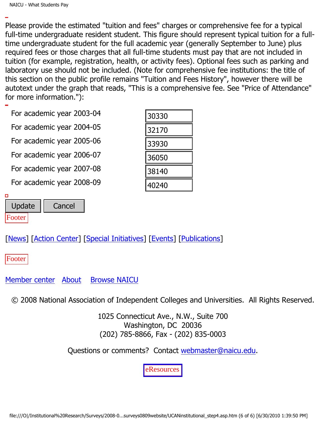Please provide the estimated "tuition and fees" charges or comprehensive fee for a typical full-time undergraduate resident student. This figure should represent typical tuition for a fulltime undergraduate student for the full academic year (generally September to June) plus required fees or those charges that all full-time students must pay that are not included in tuition (for example, registration, health, or activity fees). Optional fees such as parking and laboratory use should not be included. (Note for comprehensive fee institutions: the title of this section on the public profile remains "Tuition and Fees History", however there will be autotext under the graph that reads, "This is a comprehensive fee. See "Price of Attendance" for more information."):

For academic year 2003-04

| FUI dCdUCITIIC yedi ZUUS-U4                                                                                                          | 30330                                                                                                      |  |
|--------------------------------------------------------------------------------------------------------------------------------------|------------------------------------------------------------------------------------------------------------|--|
| For academic year 2004-05                                                                                                            | 32170                                                                                                      |  |
| For academic year 2005-06                                                                                                            | 33930                                                                                                      |  |
| For academic year 2006-07                                                                                                            | 36050                                                                                                      |  |
| For academic year 2007-08                                                                                                            | 38140                                                                                                      |  |
| For academic year 2008-09                                                                                                            | 40240                                                                                                      |  |
| Update<br>Cancel<br>ooter                                                                                                            |                                                                                                            |  |
| <b>News</b> ] [Action Center] [Special Initiatives] [Events] [Publications]                                                          |                                                                                                            |  |
| ooter                                                                                                                                |                                                                                                            |  |
| lember center About<br><b>Browse NAICU</b>                                                                                           |                                                                                                            |  |
| © 2008 National Association of Independent Colleges and Universities. All Rights Reserve                                             |                                                                                                            |  |
|                                                                                                                                      | 1025 Connecticut Ave., N.W., Suite 700<br>Washington, DC 20036<br>$(202)$ 785-8866, Fax - $(202)$ 835-0003 |  |
| Questions or comments? Contact webmaster@naicu.edu.                                                                                  |                                                                                                            |  |
|                                                                                                                                      | eResources                                                                                                 |  |
|                                                                                                                                      |                                                                                                            |  |
| file:///O /Institutional%20Research/Surveys/2008-0surveys0809website/UCANinstitutional_step4.asp.htm (6 of 6) [6/30/2010 1:39:50 PM] |                                                                                                            |  |

Footer

Footer

 $\Box$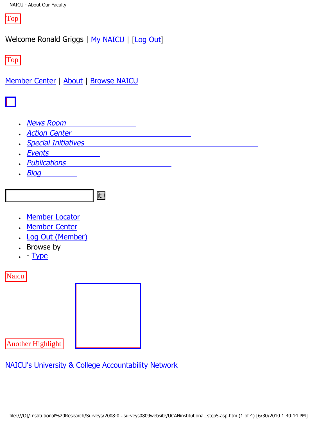Top

Welcome Ronald Griggs | [My NAICU](file:///My_NAICU/) | [\[Log Out](file:///My_NAICU/signout.asp)]

Top

[Member Center](file:///Member_Center/default.asp) | [About](file:///about/default.asp) | [Browse NAICU](file:///Browse_NAICU/default.asp)



- **[News Room](file:///news_room/default.asp)**
- **[Action Center](http://capwiz.com/naicu/home/)**
- **[Special Initiatives](file:///special_initiatives/default.asp)**
- **[Events](file:///events/default.asp)**
- **[Publications](file:///publications/default.asp)**
- **[Blog](file:///naicublog/default.asp)**



- [Member Locator](file:///member_center/memberLocator.asp)
- **[Member Center](file:///member_center/)**
- **[Log Out \(Member\)](file:///member_center/signout.asp)**
- Browse by
- $\cdot$  - [Type](file:///member_center/memberNews_byType.asp)

**Naicu** 



Another Highlight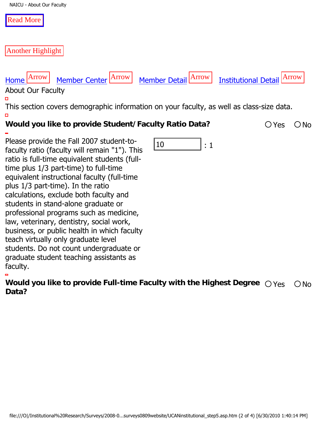#### [Read More](http://www.ucan-network.org/)

#### Another Highlight

# [Home](file:///) Arrow [Member Center](file:///member_center/) Arrow [Member Detail](file:///member_center/id.432/member_detail.asp) Arrow [Institutional Detail](file:///member_center/id.432/institutional_detail.asp) Arrow

About Our Faculty

 $\Box$ 

This section covers demographic information on your faculty, as well as class-size data.  $\Box$ **Would you like to provide Student/Faculty Ratio Data?** 20 Yes ONo

| Please provide the Fall 2007 student-to-<br>10<br>: 1<br>faculty ratio (faculty will remain "1"). This<br>ratio is full-time equivalent students (full-<br>time plus 1/3 part-time) to full-time<br>equivalent instructional faculty (full-time<br>plus 1/3 part-time). In the ratio<br>calculations, exclude both faculty and<br>students in stand-alone graduate or<br>professional programs such as medicine,<br>law, veterinary, dentistry, social work,<br>business, or public health in which faculty<br>teach virtually only graduate level<br>students. Do not count undergraduate or<br>graduate student teaching assistants as<br>faculty. |  |
|------------------------------------------------------------------------------------------------------------------------------------------------------------------------------------------------------------------------------------------------------------------------------------------------------------------------------------------------------------------------------------------------------------------------------------------------------------------------------------------------------------------------------------------------------------------------------------------------------------------------------------------------------|--|
| Would you like to provide Full-time Faculty with the Highest Degree $\bigcirc$ Yes<br>$\bigcirc$ No                                                                                                                                                                                                                                                                                                                                                                                                                                                                                                                                                  |  |
| Data?                                                                                                                                                                                                                                                                                                                                                                                                                                                                                                                                                                                                                                                |  |
|                                                                                                                                                                                                                                                                                                                                                                                                                                                                                                                                                                                                                                                      |  |
|                                                                                                                                                                                                                                                                                                                                                                                                                                                                                                                                                                                                                                                      |  |
|                                                                                                                                                                                                                                                                                                                                                                                                                                                                                                                                                                                                                                                      |  |
|                                                                                                                                                                                                                                                                                                                                                                                                                                                                                                                                                                                                                                                      |  |
|                                                                                                                                                                                                                                                                                                                                                                                                                                                                                                                                                                                                                                                      |  |
|                                                                                                                                                                                                                                                                                                                                                                                                                                                                                                                                                                                                                                                      |  |
|                                                                                                                                                                                                                                                                                                                                                                                                                                                                                                                                                                                                                                                      |  |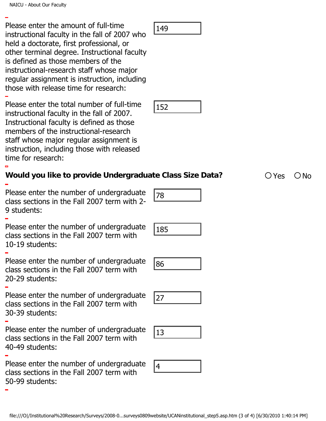Please enter the amount of full-time instructional faculty in the fall of 2007 who held a doctorate, first professional, or other terminal degree. Instructional faculty is defined as those members of the instructional-research staff whose major regular assignment is instruction, including those with release time for research: files: entity the file internal of the filest control of the filest decorates in the filest decorates in the method of the different of the method of the filest three methods are the methods and the methods of the instruct

Please enter the total number of full-time instructional faculty in the fall of 2007. Instructional faculty is defined as those members of the instructional-research staff whose major regular assignment is instruction, including those with released time for research:

Please enter the number of undergraduate class sections in the Fall 2007 term with 2- 9 students:

Please enter the number of undergraduate class sections in the Fall 2007 term with 10-19 students:

Please enter the number of undergraduate class sections in the Fall 2007 term with

20-29 students:

Please enter the number of undergraduate class sections in the Fall 2007 term with 30-39 students:

Please enter the number of undergraduate class sections in the Fall 2007 term with 40-49 students:

Please enter the number of undergraduate class sections in the Fall 2007 term with 50-99 students:

| $\Lambda$ |  |
|-----------|--|
|-----------|--|











**Would you like to provide Undergraduate Class Size Data?** Yes No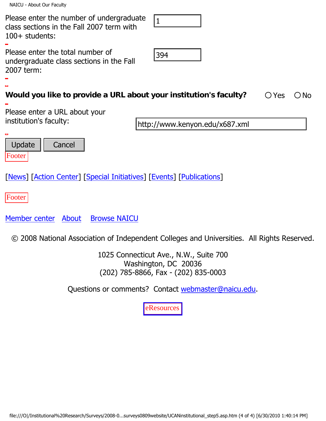NAICU - About Our Faculty

| Please enter the number of undergraduate<br>$ 1\rangle$<br>class sections in the Fall 2007 term with<br>100+ students:               |  |  |  |  |
|--------------------------------------------------------------------------------------------------------------------------------------|--|--|--|--|
| Please enter the total number of<br>394<br>undergraduate class sections in the Fall<br>2007 term:                                    |  |  |  |  |
| Would you like to provide a URL about your institution's faculty?<br>$\bigcirc$ Yes<br>$\bigcirc$ No                                 |  |  |  |  |
| Please enter a URL about your<br>institution's faculty:<br>http://www.kenyon.edu/x687.xml                                            |  |  |  |  |
| ▭                                                                                                                                    |  |  |  |  |
| <b>Update</b><br>Cancel<br>Footer                                                                                                    |  |  |  |  |
| [News] [Action Center] [Special Initiatives] [Events] [Publications]                                                                 |  |  |  |  |
| Footer                                                                                                                               |  |  |  |  |
| Member center About<br><b>Browse NAICU</b>                                                                                           |  |  |  |  |
| 2008 National Association of Independent Colleges and Universities. All Rights Reserved.<br>$\circled{c}$                            |  |  |  |  |
| 1025 Connecticut Ave., N.W., Suite 700<br>Washington, DC 20036                                                                       |  |  |  |  |
| (202) 785-8866, Fax - (202) 835-0003                                                                                                 |  |  |  |  |
| Questions or comments? Contact webmaster@naicu.edu.                                                                                  |  |  |  |  |
| eResources                                                                                                                           |  |  |  |  |
|                                                                                                                                      |  |  |  |  |
|                                                                                                                                      |  |  |  |  |
|                                                                                                                                      |  |  |  |  |
|                                                                                                                                      |  |  |  |  |
|                                                                                                                                      |  |  |  |  |
|                                                                                                                                      |  |  |  |  |
| file:///O /Institutional%20Research/Surveys/2008-0surveys0809website/UCANinstitutional_step5.asp.htm (4 of 4) [6/30/2010 1:40:14 PM] |  |  |  |  |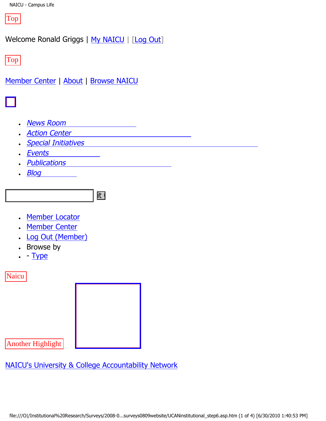

Welcome Ronald Griggs | [My NAICU](file:///My_NAICU/) | [\[Log Out](file:///My_NAICU/signout.asp)]

Top

[Member Center](file:///Member_Center/default.asp) | [About](file:///about/default.asp) | [Browse NAICU](file:///Browse_NAICU/default.asp)



- **[News Room](file:///news_room/default.asp)**
- **[Action Center](http://capwiz.com/naicu/home/)**
- **[Special Initiatives](file:///special_initiatives/default.asp)**
- **[Events](file:///events/default.asp)**
- **[Publications](file:///publications/default.asp)**
- **[Blog](file:///naicublog/default.asp)**



- [Member Locator](file:///member_center/memberLocator.asp)
- **[Member Center](file:///member_center/)**
- **[Log Out \(Member\)](file:///member_center/signout.asp)**
- Browse by
- $\cdot$  - [Type](file:///member_center/memberNews_byType.asp)

**Naicu** 



Another Highlight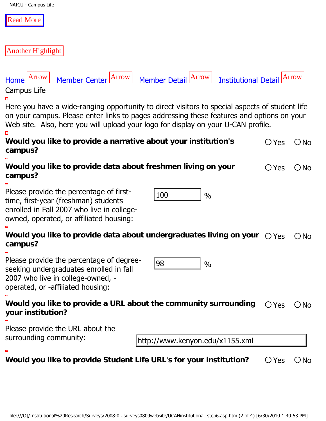| NAICU - Campus Life |  |  |
|---------------------|--|--|
|---------------------|--|--|

#### [Read More](http://www.ucan-network.org/)

#### Another Highlight



# [Home](file:///) Arrow [Member Center](file:///member_center/) Arrow [Member Detail](file:///member_center/id.432/member_detail.asp) Arrow [Institutional Detail](file:///member_center/id.432/institutional_detail.asp) Arrow

Campus Life

Here you have a wide-ranging opportunity to direct visitors to special aspects of student life on your campus. Please enter links to pages addressing these features and options on your Web site. Also, here you will upload your logo for display on your U-CAN profile. о

| Would you like to provide a narrative about your institution's | $OYes$ $ONo$ |  |
|----------------------------------------------------------------|--------------|--|
| campus?                                                        |              |  |
|                                                                |              |  |

**Would you like to provide data about freshmen living on your**  $\bigcirc$  **Yes**  $\bigcirc$  **No campus?** 

Please provide the percentage of firsttime, first-year (freshman) students enrolled in Fall 2007 who live in collegeowned, operated, or affiliated housing:

|--|--|

# Would you like to provide data about undergraduates living on your  $\bigcirc$  Y<sub>es  $\bigcirc$  No campus?</sub> File:///Cl/Institutional%20Research/Survey/2008-0..surveys0809website/UCAMinstitutional\_step6.asp.htm (2 of 4) [6/30/2010 1:40:53 PM]<br>https://O|/Institutional you like to provide data about undergraduates living on your  $\$

Please provide the percentage of degreeseeking undergraduates enrolled in fall 2007 who live in college-owned, operated, or -affiliated housing:

|--|--|

# Would you like to provide a URL about the community surrounding  $\;\bigcirc$  Yes  $\;\bigcirc$  No your institution?

Please provide the URL about the surrounding community:

**Would you like to provide Student Life URL's for your institution?**  $\bigcirc$  Yes  $\bigcirc$  No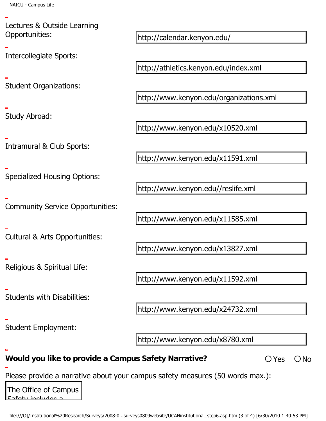Lectures & Outside Learning Opportunities:

Intercollegiate Sports:

Student Organizations:

Study Abroad:

Intramural & Club Sports:

Specialized Housing Options:

Community Service Opportunities:

Cultural & Arts Opportunities:

Religious & Spiritual Life:

Students with Disabilities:

Student Employment:

**Would you like to provide a Campus Safety Narrative?**  $\bigcirc$  Yes  $\bigcirc$  No

Please provide a narrative about your campus safety measures (50 words max.): Deportunities,<br>
intercollegiate Sports:<br>
Enter-Cliegiate Sports:<br>
Enter-Manual & Club Sports:<br>
Enter-Manual & Club Sports:<br>
Enter-Manual & Club Sports:<br>
Enter-Manual & Club Sports:<br>
Enter-Manual & Arts Opportunities:<br>
Ente

<u>faty includes</u>